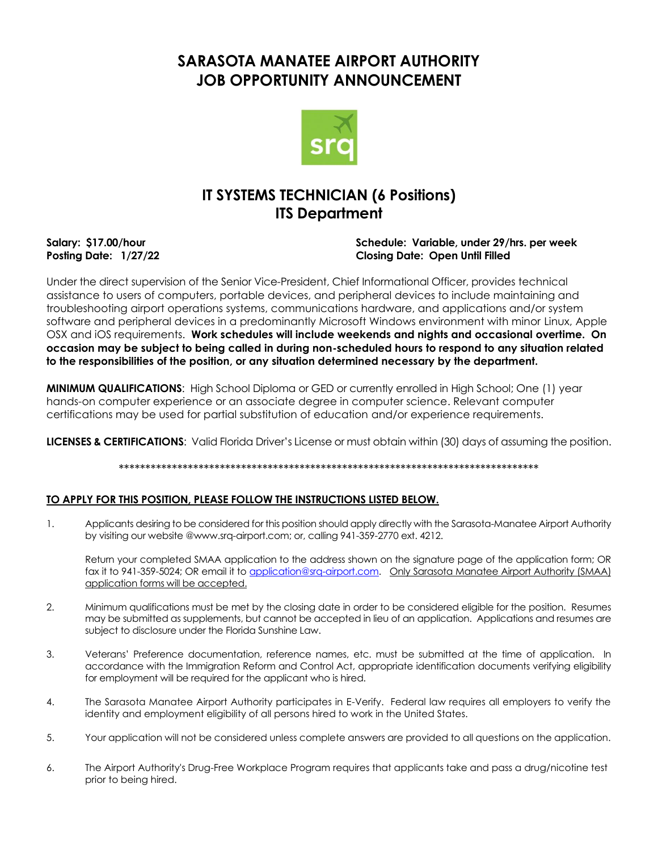# **SARASOTA MANATEE AIRPORT AUTHORITY JOB OPPORTUNITY ANNOUNCEMENT**



# **IT SYSTEMS TECHNICIAN (6 Positions) ITS Department**

#### **Salary: \$17.00/hour Schedule: Variable, under 29/hrs. per week Posting Date: 1/27/22 Closing Date: Open Until Filled**

Under the direct supervision of the Senior Vice-President, Chief Informational Officer, provides technical assistance to users of computers, portable devices, and peripheral devices to include maintaining and troubleshooting airport operations systems, communications hardware, and applications and/or system software and peripheral devices in a predominantly Microsoft Windows environment with minor Linux, Apple OSX and iOS requirements. **Work schedules will include weekends and nights and occasional overtime. On occasion may be subject to being called in during non-scheduled hours to respond to any situation related to the responsibilities of the position, or any situation determined necessary by the department.**

**MINIMUM QUALIFICATIONS**: High School Diploma or GED or currently enrolled in High School; One (1) year hands-on computer experience or an associate degree in computer science. Relevant computer certifications may be used for partial substitution of education and/or experience requirements.

**LICENSES & CERTIFICATIONS**: Valid Florida Driver's License or must obtain within (30) days of assuming the position.

\*\*\*\*\*\*\*\*\*\*\*\*\*\*\*\*\*\*\*\*\*\*\*\*\*\*\*\*\*\*\*\*\*\*\*\*\*\*\*\*\*\*\*\*\*\*\*\*\*\*\*\*\*\*\*\*\*\*\*\*\*\*\*\*\*\*\*\*\*\*\*\*\*\*\*\*\*\*\*

## **TO APPLY FOR THIS POSITION, PLEASE FOLLOW THE INSTRUCTIONS LISTED BELOW.**

1. Applicants desiring to be considered for this position should apply directly with the Sarasota-Manatee Airport Authority by visiting our website @www.srq-airport.com; or, calling 941-359-2770 ext. 4212.

Return your completed SMAA application to the address shown on the signature page of the application form; OR fax it to 941-359-5024; OR email it to [application@srq-airport.com.](mailto:application@srq-airport.com) Only Sarasota Manatee Airport Authority (SMAA) application forms will be accepted.

- 2. Minimum qualifications must be met by the closing date in order to be considered eligible for the position. Resumes may be submitted as supplements, but cannot be accepted in lieu of an application. Applications and resumes are subject to disclosure under the Florida Sunshine Law.
- 3. Veterans' Preference documentation, reference names, etc. must be submitted at the time of application. In accordance with the Immigration Reform and Control Act, appropriate identification documents verifying eligibility for employment will be required for the applicant who is hired.
- 4. The Sarasota Manatee Airport Authority participates in E-Verify. Federal law requires all employers to verify the identity and employment eligibility of all persons hired to work in the United States.
- 5. Your application will not be considered unless complete answers are provided to all questions on the application.
- 6. The Airport Authority's Drug-Free Workplace Program requires that applicants take and pass a drug/nicotine test prior to being hired.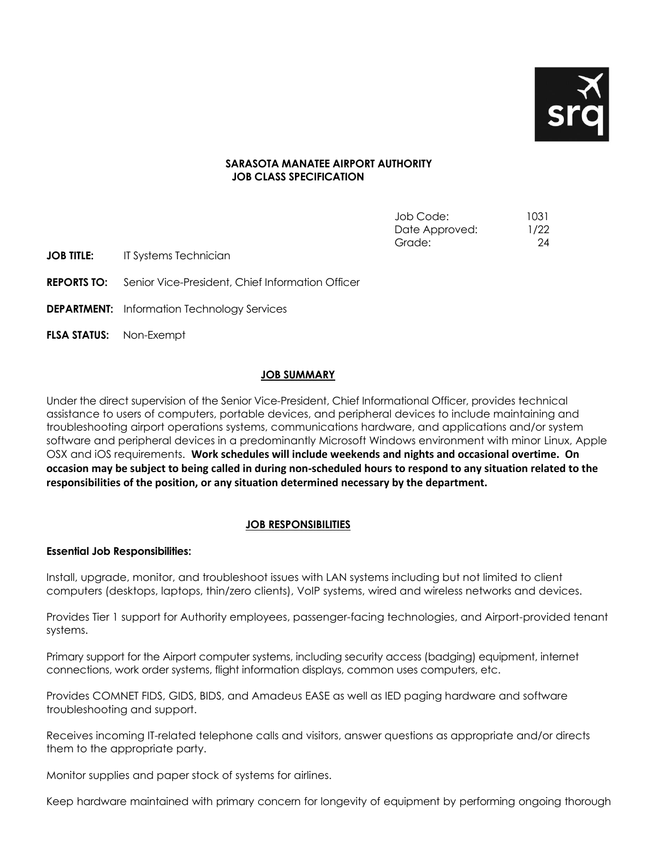

## **SARASOTA MANATEE AIRPORT AUTHORITY JOB CLASS SPECIFICATION**

| 1031 |
|------|
| 1/22 |
| 24   |
|      |

**JOB TITLE:** IT Systems Technician

**REPORTS TO:** Senior Vice-President, Chief Information Officer

**DEPARTMENT:** Information Technology Services

**FLSA STATUS:** Non-Exempt

## **JOB SUMMARY**

Under the direct supervision of the Senior Vice-President, Chief Informational Officer, provides technical assistance to users of computers, portable devices, and peripheral devices to include maintaining and troubleshooting airport operations systems, communications hardware, and applications and/or system software and peripheral devices in a predominantly Microsoft Windows environment with minor Linux, Apple OSX and iOS requirements. **Work schedules will include weekends and nights and occasional overtime. On occasion may be subject to being called in during non-scheduled hours to respond to any situation related to the responsibilities of the position, or any situation determined necessary by the department.**

## **JOB RESPONSIBILITIES**

#### **Essential Job Responsibilities:**

Install, upgrade, monitor, and troubleshoot issues with LAN systems including but not limited to client computers (desktops, laptops, thin/zero clients), VoIP systems, wired and wireless networks and devices.

Provides Tier 1 support for Authority employees, passenger-facing technologies, and Airport-provided tenant systems.

Primary support for the Airport computer systems, including security access (badging) equipment, internet connections, work order systems, flight information displays, common uses computers, etc.

Provides COMNET FIDS, GIDS, BIDS, and Amadeus EASE as well as IED paging hardware and software troubleshooting and support.

Receives incoming IT-related telephone calls and visitors, answer questions as appropriate and/or directs them to the appropriate party.

Monitor supplies and paper stock of systems for airlines.

Keep hardware maintained with primary concern for longevity of equipment by performing ongoing thorough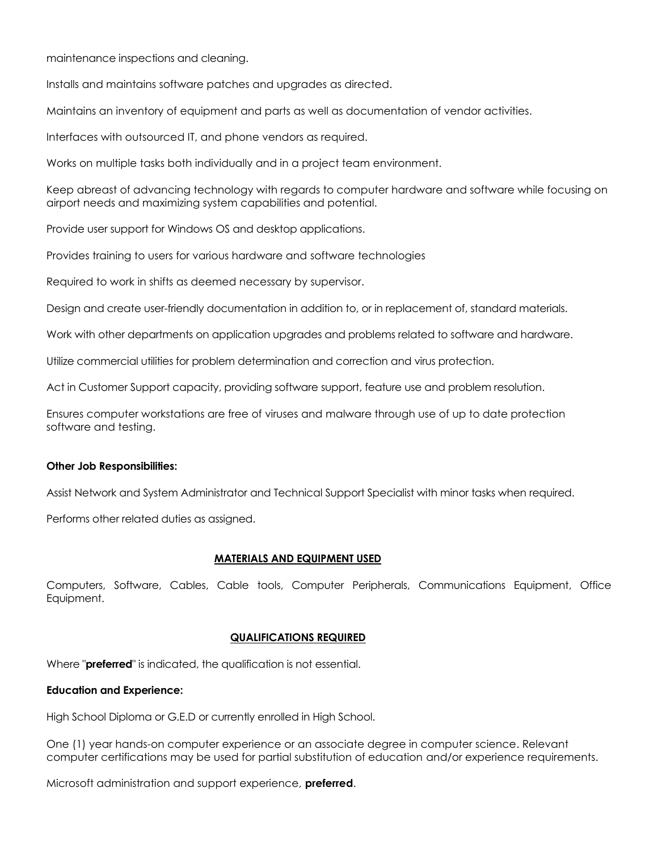maintenance inspections and cleaning.

Installs and maintains software patches and upgrades as directed.

Maintains an inventory of equipment and parts as well as documentation of vendor activities.

Interfaces with outsourced IT, and phone vendors as required.

Works on multiple tasks both individually and in a project team environment.

Keep abreast of advancing technology with regards to computer hardware and software while focusing on airport needs and maximizing system capabilities and potential.

Provide user support for Windows OS and desktop applications.

Provides training to users for various hardware and software technologies

Required to work in shifts as deemed necessary by supervisor.

Design and create user-friendly documentation in addition to, or in replacement of, standard materials.

Work with other departments on application upgrades and problems related to software and hardware.

Utilize commercial utilities for problem determination and correction and virus protection.

Act in Customer Support capacity, providing software support, feature use and problem resolution.

Ensures computer workstations are free of viruses and malware through use of up to date protection software and testing.

#### **Other Job Responsibilities:**

Assist Network and System Administrator and Technical Support Specialist with minor tasks when required.

Performs other related duties as assigned.

#### **MATERIALS AND EQUIPMENT USED**

Computers, Software, Cables, Cable tools, Computer Peripherals, Communications Equipment, Office Equipment.

#### **QUALIFICATIONS REQUIRED**

Where "**preferred**" is indicated, the qualification is not essential.

### **Education and Experience:**

High School Diploma or G.E.D or currently enrolled in High School.

One (1) year hands-on computer experience or an associate degree in computer science. Relevant computer certifications may be used for partial substitution of education and/or experience requirements.

Microsoft administration and support experience, **preferred**.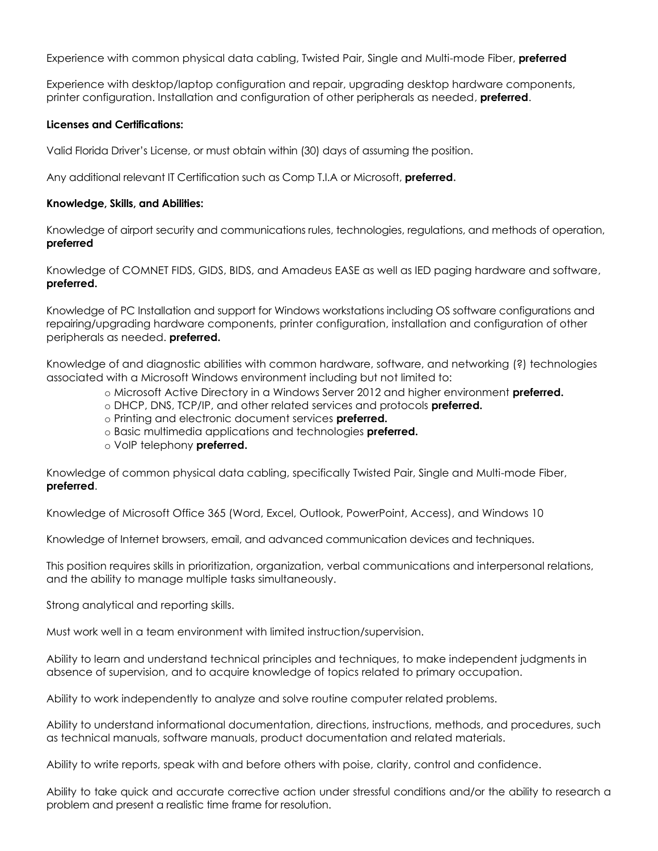Experience with common physical data cabling, Twisted Pair, Single and Multi-mode Fiber, **preferred**

Experience with desktop/laptop configuration and repair, upgrading desktop hardware components, printer configuration. Installation and configuration of other peripherals as needed, **preferred**.

### **Licenses and Certifications:**

Valid Florida Driver's License, or must obtain within (30) days of assuming the position.

Any additional relevant IT Certification such as Comp T.I.A or Microsoft, **preferred.**

#### **Knowledge, Skills, and Abilities:**

Knowledge of airport security and communications rules, technologies, regulations, and methods of operation, **preferred**

Knowledge of COMNET FIDS, GIDS, BIDS, and Amadeus EASE as well as IED paging hardware and software, **preferred.**

Knowledge of PC Installation and support for Windows workstations including OS software configurations and repairing/upgrading hardware components, printer configuration, installation and configuration of other peripherals as needed. **preferred.**

Knowledge of and diagnostic abilities with common hardware, software, and networking (?) technologies associated with a Microsoft Windows environment including but not limited to:

o Microsoft Active Directory in a Windows Server 2012 and higher environment **preferred.**

- o DHCP, DNS, TCP/IP, and other related services and protocols **preferred.**
- o Printing and electronic document services **preferred.**
- o Basic multimedia applications and technologies **preferred.**
- o VoIP telephony **preferred.**

Knowledge of common physical data cabling, specifically Twisted Pair, Single and Multi-mode Fiber, **preferred**.

Knowledge of Microsoft Office 365 (Word, Excel, Outlook, PowerPoint, Access), and Windows 10

Knowledge of Internet browsers, email, and advanced communication devices and techniques.

This position requires skills in prioritization, organization, verbal communications and interpersonal relations, and the ability to manage multiple tasks simultaneously.

Strong analytical and reporting skills.

Must work well in a team environment with limited instruction/supervision.

Ability to learn and understand technical principles and techniques, to make independent judgments in absence of supervision, and to acquire knowledge of topics related to primary occupation.

Ability to work independently to analyze and solve routine computer related problems.

Ability to understand informational documentation, directions, instructions, methods, and procedures, such as technical manuals, software manuals, product documentation and related materials.

Ability to write reports, speak with and before others with poise, clarity, control and confidence.

Ability to take quick and accurate corrective action under stressful conditions and/or the ability to research a problem and present a realistic time frame for resolution.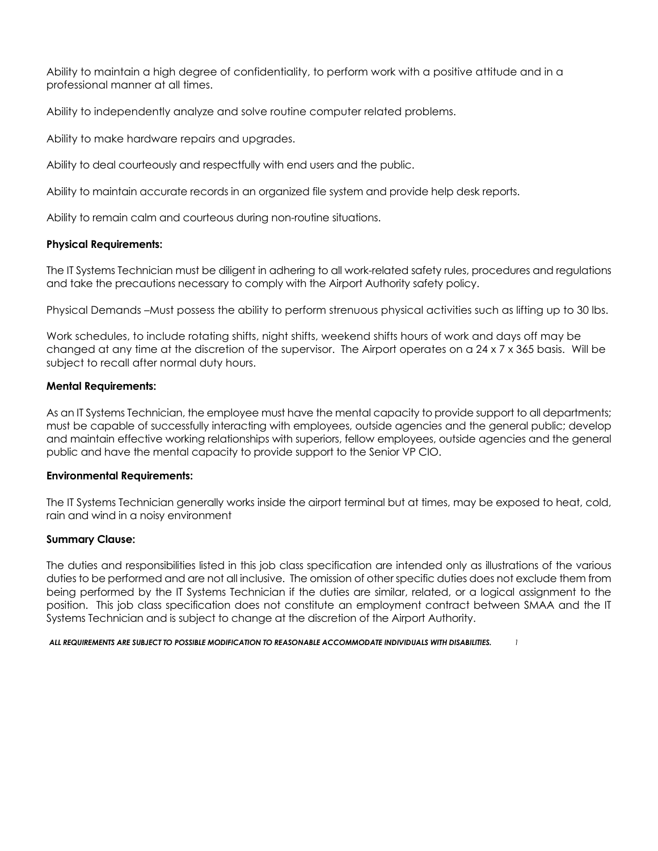Ability to maintain a high degree of confidentiality, to perform work with a positive attitude and in a professional manner at all times.

Ability to independently analyze and solve routine computer related problems.

Ability to make hardware repairs and upgrades.

Ability to deal courteously and respectfully with end users and the public.

Ability to maintain accurate records in an organized file system and provide help desk reports.

Ability to remain calm and courteous during non-routine situations.

#### **Physical Requirements:**

The IT Systems Technician must be diligent in adhering to all work-related safety rules, procedures and regulations and take the precautions necessary to comply with the Airport Authority safety policy.

Physical Demands –Must possess the ability to perform strenuous physical activities such as lifting up to 30 lbs.

Work schedules, to include rotating shifts, night shifts, weekend shifts hours of work and days off may be changed at any time at the discretion of the supervisor. The Airport operates on a 24 x 7 x 365 basis. Will be subject to recall after normal duty hours.

#### **Mental Requirements:**

As an IT Systems Technician, the employee must have the mental capacity to provide support to all departments; must be capable of successfully interacting with employees, outside agencies and the general public; develop and maintain effective working relationships with superiors, fellow employees, outside agencies and the general public and have the mental capacity to provide support to the Senior VP CIO.

#### **Environmental Requirements:**

The IT Systems Technician generally works inside the airport terminal but at times, may be exposed to heat, cold, rain and wind in a noisy environment

#### **Summary Clause:**

The duties and responsibilities listed in this job class specification are intended only as illustrations of the various duties to be performed and are not all inclusive. The omission of other specific duties does not exclude them from being performed by the IT Systems Technician if the duties are similar, related, or a logical assignment to the position. This job class specification does not constitute an employment contract between SMAA and the IT Systems Technician and is subject to change at the discretion of the Airport Authority.

*ALL REQUIREMENTS ARE SUBJECT TO POSSIBLE MODIFICATION TO REASONABLE ACCOMMODATE INDIVIDUALS WITH DISABILITIES. 1*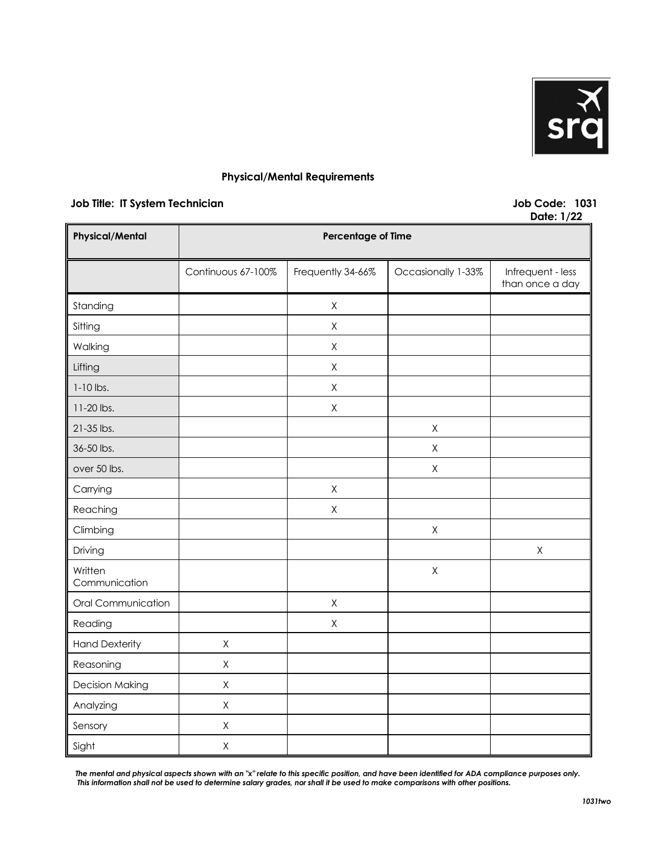

## **Physical/Mental Requirements**

## **Job Title: IT System Technician Job Code: 1031**

**Date: 1/22**

| <b>Physical/Mental</b>   | <b>Percentage of Time</b> |                   |                    |                                      |
|--------------------------|---------------------------|-------------------|--------------------|--------------------------------------|
|                          | Continuous 67-100%        | Frequently 34-66% | Occasionally 1-33% | Infrequent - less<br>than once a day |
| Standing                 |                           | $\mathsf X$       |                    |                                      |
| Sitting                  |                           | $\mathsf X$       |                    |                                      |
| Walking                  |                           | $\mathsf X$       |                    |                                      |
| Lifting                  |                           | $\mathsf X$       |                    |                                      |
| $1-10$ lbs.              |                           | $\mathsf X$       |                    |                                      |
| 11-20 lbs.               |                           | $\mathsf X$       |                    |                                      |
| 21-35 lbs.               |                           |                   | $\mathsf X$        |                                      |
| 36-50 lbs.               |                           |                   | $\mathsf X$        |                                      |
| over 50 lbs.             |                           |                   | $\mathsf X$        |                                      |
| Carrying                 |                           | X                 |                    |                                      |
| Reaching                 |                           | X                 |                    |                                      |
| Climbing                 |                           |                   | $\mathsf X$        |                                      |
| Driving                  |                           |                   |                    | $\mathsf X$                          |
| Written<br>Communication |                           |                   | $\mathsf X$        |                                      |
| Oral Communication       |                           | X                 |                    |                                      |
| Reading                  |                           | $\mathsf X$       |                    |                                      |
| <b>Hand Dexterity</b>    | $\sf X$                   |                   |                    |                                      |
| Reasoning                | $\mathsf X$               |                   |                    |                                      |
| <b>Decision Making</b>   | $\mathsf X$               |                   |                    |                                      |
| Analyzing                | $\mathsf X$               |                   |                    |                                      |
| Sensory                  | $\mathsf X$               |                   |                    |                                      |
| Sight                    | $\mathsf X$               |                   |                    |                                      |

*The mental and physical aspects shown with an "x" relate to this specific position, and have been identified for ADA compliance purposes only. This information shall not be used to determine salary grades, nor shall it be used to make comparisons with other positions.*